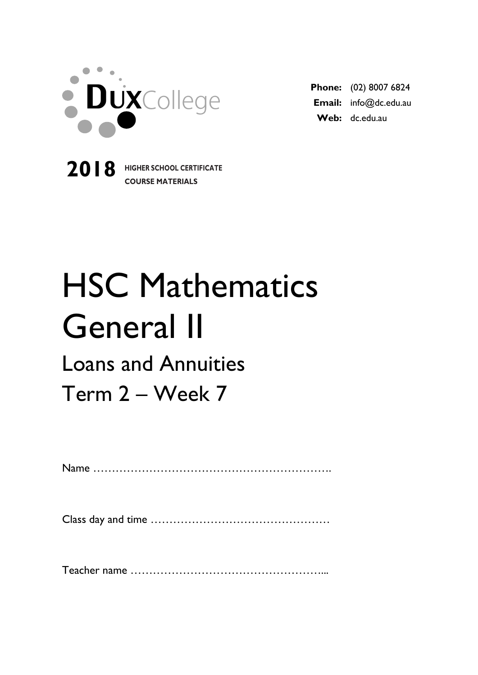

**2018 HIGHER SCHOOL CERTIFICATE**

**COURSE MATERIALS**

**Phone:** (02) 8007 6824 **Email:** info@dc.edu.au **Web:** dc.edu.au

# HSC Mathematics General II

## Loans and Annuities

Term 2 – Week 7

Name ……………………………………………………….

Class day and time …………………………………………

Teacher name ……………………………………………...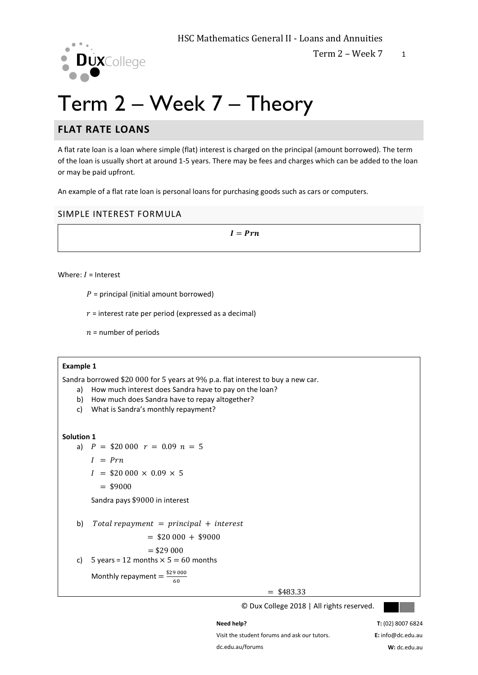

## Term 2 – Week 7 – Theory

#### **FLAT RATE LOANS**

A flat rate loan is a loan where simple (flat) interest is charged on the principal (amount borrowed). The term of the loan is usually short at around 1-5 years. There may be fees and charges which can be added to the loan or may be paid upfront.

An example of a flat rate loan is personal loans for purchasing goods such as cars or computers.

#### SIMPLE INTEREST FORMULA

 $I=Prn$ 

Where:  $I =$  Interest

 $P =$  principal (initial amount borrowed)

 $r =$  interest rate per period (expressed as a decimal)

 $n =$  number of periods

#### **Example 1**

Sandra borrowed \$20 000 for 5 years at 9% p.a. flat interest to buy a new car.

- a) How much interest does Sandra have to pay on the loan?
- b) How much does Sandra have to repay altogether?
- c) What is Sandra's monthly repayment?

#### **Solution 1**

```
a) P = $20,000 r = 0.09 n = 5
```

```
I = Prn
```
 $I = $20\,000 \times 0.09 \times 5$ 

```
= $9000
```
Sandra pays \$9000 in interest

b) Total repayment = principal + interest

$$
= $20\,000 + $9000
$$

$$
= $29\ 000
$$

c) 5 years = 12 months  $\times$  5 = 60 months

Monthly repayment =  $\frac{$29\,000}{60}$ 60

 $=$  \$483.33

© Dux College 2018 | All rights reserved.



Visit the student forums and ask our tutors. dc.edu.au/forums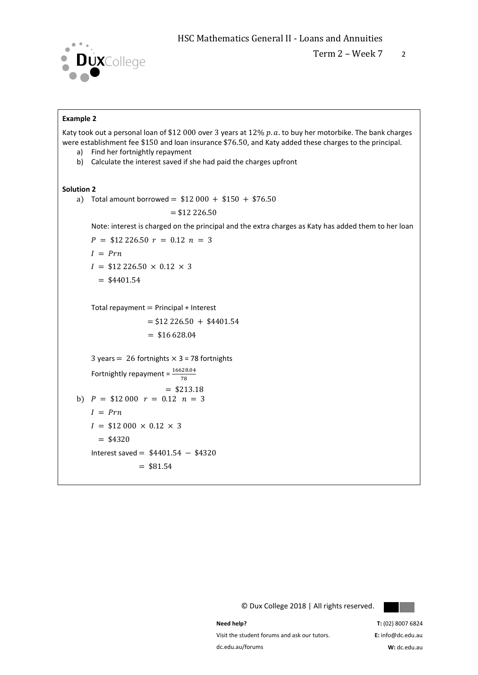

Term  $2 -$  Week  $7 - 2$ 

#### **Example 2**

Katy took out a personal loan of \$12 000 over 3 years at 12%  $p$ .  $a$ . to buy her motorbike. The bank charges were establishment fee \$150 and loan insurance \$76.50, and Katy added these charges to the principal.

- a) Find her fortnightly repayment
- b) Calculate the interest saved if she had paid the charges upfront

#### **Solution 2**

a) Total amount borrowed =  $$12\,000 + $150 + $76.50$  $= $12\,226.50$ 

Note: interest is charged on the principal and the extra charges as Katy has added them to her loan

$$
P = $12\,226.50 \, r = 0.12 \, n = 3
$$
\n
$$
I = Prn
$$
\n
$$
I = $12\,226.50 \times 0.12 \times 3
$$

 $=$  \$4401.54

Total repayment  $=$  Principal + Interest

```
= $12 226.50 + $4401.54
= $16 628.04
```

```
3 years = 26 fortnights \times 3 = 78 fortnights
Fortnightly repayment = \frac{16628.04}{78}
```

```
= $213.18
b) P = $12\,000 \, r = 0.12 \, n = 3I = PrnI = $12\,000 \times 0.12 \times 3= $4320
    Interest saved = $4401.54 − $4320
                 = $81.54
```
© Dux College 2018 | All rights reserved.



**Need help?** 

Visit the student forums and ask our tutors. dc.edu.au/forums

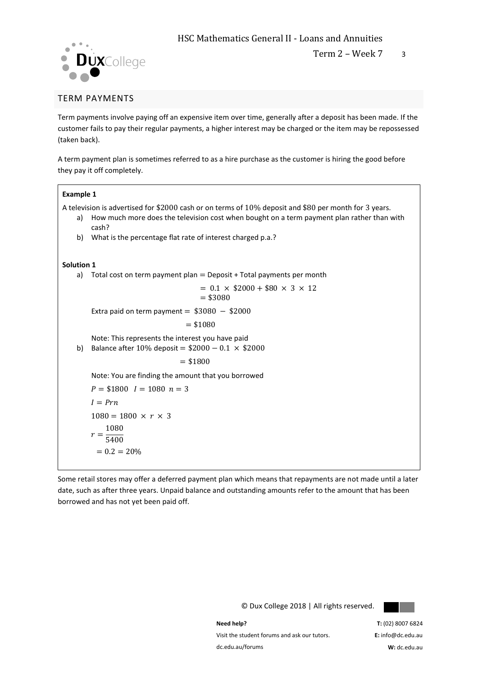



#### TERM PAYMENTS

Term payments involve paying off an expensive item over time, generally after a deposit has been made. If the customer fails to pay their regular payments, a higher interest may be charged or the item may be repossessed (taken back).

A term payment plan is sometimes referred to as a hire purchase as the customer is hiring the good before they pay it off completely.

#### **Example 1**

A television is advertised for \$2000 cash or on terms of 10% deposit and \$80 per month for 3 years.

- a) How much more does the television cost when bought on a term payment plan rather than with cash?
- b) What is the percentage flat rate of interest charged p.a.?

#### **Solution 1**

a) Total cost on term payment plan  $=$  Deposit + Total payments per month

 $= 0.1 \times$  \$2000 + \$80  $\times$  3  $\times$  12  $= $3080$ 

Extra paid on term payment =  $$3080 - $2000$ 

 $= $1080$ 

Note: This represents the interest you have paid

b) Balance after  $10\%$  deposit =  $$2000 - 0.1 \times $2000$ 

 $= $1800$ 

Note: You are finding the amount that you borrowed

```
P = $1800 \quad I = 1080 \quad n = 3I=Prn1080 = 1800 \times r \times 3r = \frac{1080}{5400}5400
 = 0.2 = 20\%
```
Some retail stores may offer a deferred payment plan which means that repayments are not made until a later date, such as after three years. Unpaid balance and outstanding amounts refer to the amount that has been borrowed and has not yet been paid off.



© Dux College 2018 | All rights reserved.

**Need help?**  Visit the student forums and ask our tutors. dc.edu.au/forums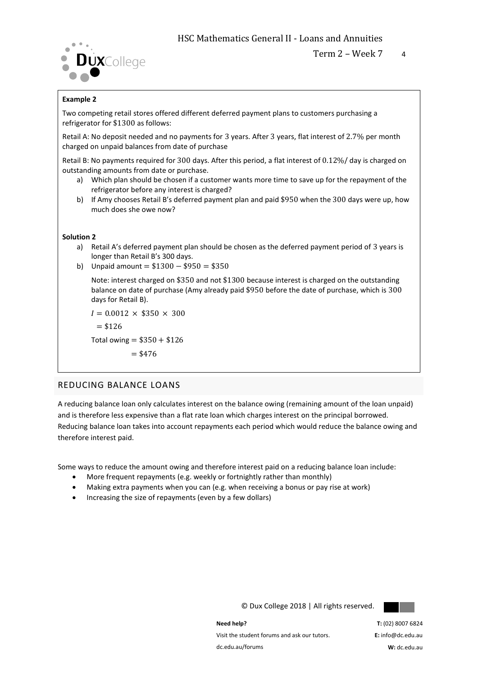

#### **Example 2**

Two competing retail stores offered different deferred payment plans to customers purchasing a refrigerator for \$1300 as follows:

Retail A: No deposit needed and no payments for 3 years. After 3 years, flat interest of 2.7% per month charged on unpaid balances from date of purchase

Retail B: No payments required for 300 days. After this period, a flat interest of 0.12%/ day is charged on outstanding amounts from date or purchase.

- a) Which plan should be chosen if a customer wants more time to save up for the repayment of the refrigerator before any interest is charged?
- b) If Amy chooses Retail B's deferred payment plan and paid \$950 when the 300 days were up, how much does she owe now?

#### **Solution 2**

- a) Retail A's deferred payment plan should be chosen as the deferred payment period of 3 years is longer than Retail B's 300 days.
- b) Unpaid amount =  $$1300 $950 = $350$

Note: interest charged on \$350 and not \$1300 because interest is charged on the outstanding balance on date of purchase (Amy already paid \$950 before the date of purchase, which is 300 days for Retail B).

 $I = 0.0012 \times $350 \times 300$  $= $126$ Total owing =  $$350 + $126$ 

 $= $476$ 

#### REDUCING BALANCE LOANS

A reducing balance loan only calculates interest on the balance owing (remaining amount of the loan unpaid) and is therefore less expensive than a flat rate loan which charges interest on the principal borrowed. Reducing balance loan takes into account repayments each period which would reduce the balance owing and therefore interest paid.

Some ways to reduce the amount owing and therefore interest paid on a reducing balance loan include:

- More frequent repayments (e.g. weekly or fortnightly rather than monthly)
- Making extra payments when you can (e.g. when receiving a bonus or pay rise at work)
- Increasing the size of repayments (even by a few dollars)



© Dux College 2018 | All rights reserved.

**Need help?**  Visit the student forums and ask our tutors. dc.edu.au/forums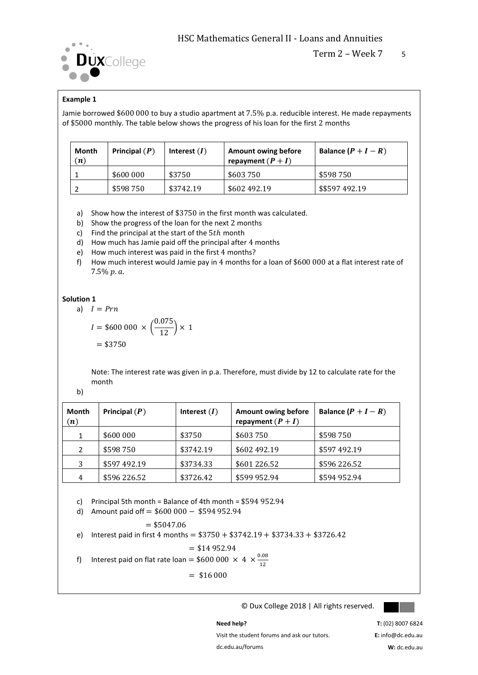

#### **Example 1**

Jamie borrowed \$600 000 to buy a studio apartment at 7.5% p.a. reducible interest. He made repayments of \$5000 monthly. The table below shows the progress of his loan for the first 2 months

| Month<br>(n) | Principal $(P)$ | Interest $(I)$ | Amount owing before<br>repayment $(P + I)$ | Balance $(P + I - R)$ |
|--------------|-----------------|----------------|--------------------------------------------|-----------------------|
|              | \$600 000       | \$3750         | \$603750                                   | \$598 750             |
|              | \$598750        | \$3742.19      | \$602 492.19                               | \$\$597492.19         |

- a) Show how the interest of \$3750 in the first month was calculated.
- b) Show the progress of the loan for the next 2 months
- c) Find the principal at the start of the  $5th$  month
- d) How much has Jamie paid off the principal after 4 months
- e) How much interest was paid in the first 4 months?
- f) How much interest would Jamie pay in 4 months for a loan of \$600 000 at a flat interest rate of  $7.5\% p.a.$

#### **Solution 1**   $a)$

$$
I = Prn
$$
  
\n
$$
I = $600\ 000 \times \left(\frac{0.075}{12}\right) \times 1
$$
  
\n= \$3750

Note: The interest rate was given in p.a. Therefore, must divide by 12 to calculate rate for the month

b)

| <b>Month</b><br>(n) | Principal $(P)$ | Interest $(I)$ | <b>Amount owing before</b><br>repayment $(P + I)$ | Balance $(P + I - R)$ |
|---------------------|-----------------|----------------|---------------------------------------------------|-----------------------|
| 1                   | \$600 000       | \$3750         | \$603 750                                         | \$598 750             |
| $\mathcal{P}$       | \$598750        | \$3742.19      | \$602 492.19                                      | \$597 492.19          |
| 3                   | \$597 492.19    | \$3734.33      | \$601 226.52                                      | \$596 226.52          |
| 4                   | \$596 226.52    | \$3726.42      | \$599 952.94                                      | \$594 952.94          |

c) Principal 5th month = Balance of 4th month = \$594 952.94

d) Amount paid off = \$600 000 − \$594 952.94

$$
= $5047.06
$$

e) Interest paid in first 4 months =  $$3750 + $3742.19 + $3734.33 + $3726.42$ 

$$
=
$$
 \$14 952.94

f) Interest paid on flat rate loan = \$600 000  $\times$  4  $\times \frac{0.08}{12}$ 12

 $=$  \$16 000

© Dux College 2018 | All rights reserved.



Visit the student forums and ask our tutors. dc.edu.au/forums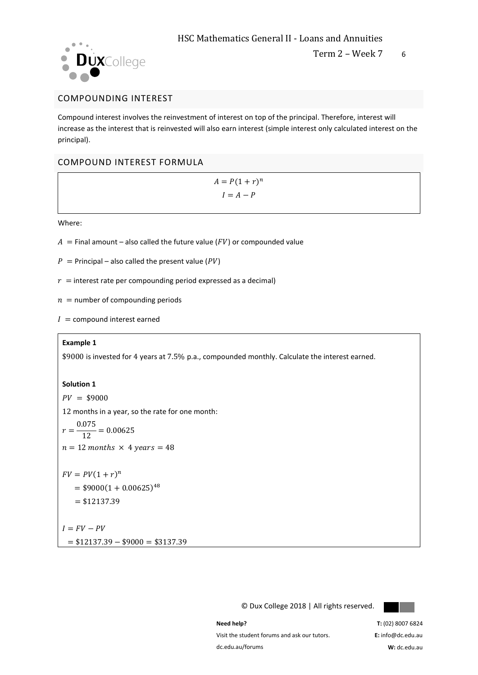

#### COMPOUNDING INTEREST

Compound interest involves the reinvestment of interest on top of the principal. Therefore, interest will increase as the interest that is reinvested will also earn interest (simple interest only calculated interest on the principal).

#### COMPOUND INTEREST FORMULA

 $A = P(1 + r)^n$  $I = A - P$ 

Where:

- $A =$  Final amount also called the future value ( $FV$ ) or compounded value
- $P =$  Principal also called the present value (PV)
- $r =$  interest rate per compounding period expressed as a decimal)
- $n =$  number of compounding periods
- $I =$  compound interest earned

#### **Example 1**

\$9000 is invested for 4 years at 7.5% p.a., compounded monthly. Calculate the interest earned.

#### **Solution 1**

 $PV = $9000$ 

12 months in a year, so the rate for one month:

$$
r = \frac{0.075}{12} = 0.00625
$$
  
n = 12 months × 4 years = 48

$$
FV = PV(1 + r)n
$$
  
= \$9000(1 + 0.00625)<sup>48</sup>  
= \$12137.39

 $I = FV - PV$  $= $12137.39 - $9000 = $3137.39$ 

© Dux College 2018 | All rights reserved.



**Need help?** 

Visit the student forums and ask our tutors. dc.edu.au/forums

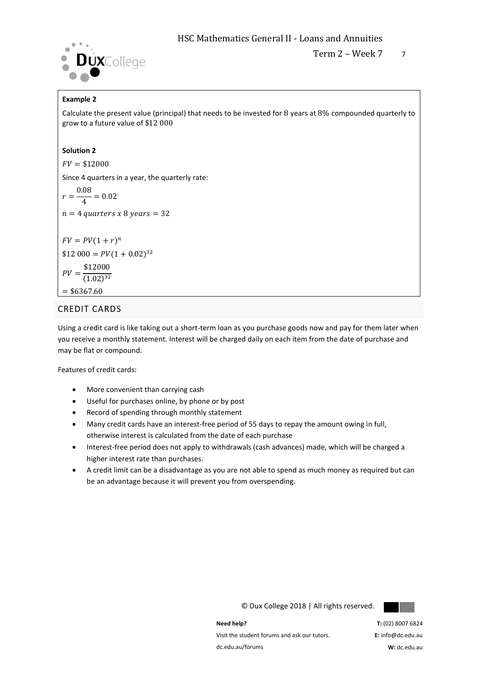

#### **Example 2**

Calculate the present value (principal) that needs to be invested for 8 years at 8% compounded quarterly to grow to a future value of \$12 000

#### **Solution 2**

 $FV = $12000$ 

Since 4 quarters in a year, the quarterly rate:

$$
r = \frac{0.08}{4} = 0.02
$$

 $n = 4$  quarters x 8 years = 32

$$
FV = PV(1+r)^{n}
$$
  
\$12 000 = PV(1 + 0.02)<sup>32</sup>  

$$
PV = \frac{$12000}{$(1.02)^{32}}
$$

$$
= $6367.60
$$

#### CREDIT CARDS

Using a credit card is like taking out a short-term loan as you purchase goods now and pay for them later when you receive a monthly statement. Interest will be charged daily on each item from the date of purchase and may be flat or compound.

Features of credit cards:

- More convenient than carrying cash
- Useful for purchases online, by phone or by post
- Record of spending through monthly statement
- Many credit cards have an interest-free period of 55 days to repay the amount owing in full, otherwise interest is calculated from the date of each purchase
- Interest-free period does not apply to withdrawals (cash advances) made, which will be charged a higher interest rate than purchases.
- A credit limit can be a disadvantage as you are not able to spend as much money as required but can be an advantage because it will prevent you from overspending.



© Dux College 2018 | All rights reserved.

**Need help?**  Visit the student forums and ask our tutors. dc.edu.au/forums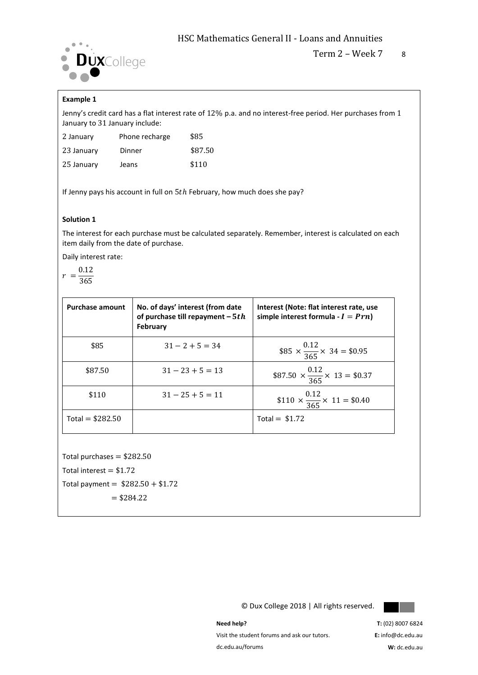

#### HSC Mathematics General II - Loans and Annuities

#### **Example 1**

Jenny's credit card has a flat interest rate of 12% p.a. and no interest-free period. Her purchases from 1 January to 31 January include:

| 2 January  | Phone recharge | \$85    |
|------------|----------------|---------|
| 23 January | Dinner         | \$87.50 |
| 25 January | Jeans          | \$110   |

If Jenny pays his account in full on  $5th$  February, how much does she pay?

#### **Solution 1**

The interest for each purchase must be calculated separately. Remember, interest is calculated on each item daily from the date of purchase.

Daily interest rate:

$$
r = \frac{0.12}{2.55}
$$

$$
-\overline{365}
$$

| <b>Purchase amount</b> | No. of days' interest (from date<br>of purchase till repayment $-5th$<br>February | Interest (Note: flat interest rate, use<br>simple interest formula - $I = Prn$ ) |
|------------------------|-----------------------------------------------------------------------------------|----------------------------------------------------------------------------------|
| \$85                   | $31 - 2 + 5 = 34$                                                                 | $$85 \times \frac{0.12}{365} \times 34 = $0.95$                                  |
| \$87.50                | $31 - 23 + 5 = 13$                                                                | \$87.50 $\times \frac{0.12}{365} \times 13 = $0.37$                              |
| \$110                  | $31 - 25 + 5 = 11$                                                                | \$110 $\times \frac{0.12}{365} \times 11 = $0.40$                                |
| Total = $$282.50$      |                                                                                   | Total = $$1.72$                                                                  |

Total purchases  $= $282.50$ 

Total interest  $= $1.72$ 

Total payment =  $$282.50 + $1.72$ 

 $= $284.22$ 

© Dux College 2018 | All rights reserved.



**Need help?** 

Visit the student forums and ask our tutors. dc.edu.au/forums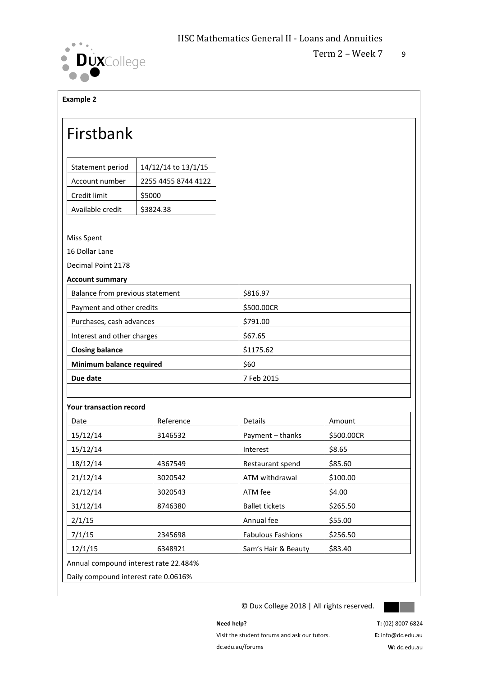

Term  $2 -$  Week  $7 - 9$ 

#### **Example 2**

### Firstbank

| Statement period | 14/12/14 to 13/1/15 |
|------------------|---------------------|
| Account number   | 2255 4455 8744 4122 |
| Credit limit     | \$5000              |
| Available credit | \$3824.38           |

#### Miss Spent

16 Dollar Lane

Decimal Point 2178

**Account summary**

| Balance from previous statement | \$816.97   |
|---------------------------------|------------|
| Payment and other credits       | \$500.00CR |
| Purchases, cash advances        | \$791.00   |
| Interest and other charges      | \$67.65    |
| <b>Closing balance</b>          | \$1175.62  |
| Minimum balance required        | \$60       |
| Due date                        | 7 Feb 2015 |
|                                 |            |

#### **Your transaction record**

| Date                                  | Reference | <b>Details</b>           | Amount     |  |
|---------------------------------------|-----------|--------------------------|------------|--|
| 15/12/14                              | 3146532   | Payment - thanks         | \$500.00CR |  |
| 15/12/14                              |           | Interest                 | \$8.65     |  |
| 18/12/14                              | 4367549   | Restaurant spend         | \$85.60    |  |
| 21/12/14                              | 3020542   | ATM withdrawal           | \$100.00   |  |
| 21/12/14                              | 3020543   | ATM fee                  | \$4.00     |  |
| 31/12/14                              | 8746380   | <b>Ballet tickets</b>    | \$265.50   |  |
| 2/1/15                                |           | Annual fee               | \$55.00    |  |
| 7/1/15                                | 2345698   | <b>Fabulous Fashions</b> | \$256.50   |  |
| 12/1/15                               | 6348921   | Sam's Hair & Beauty      | \$83.40    |  |
| Annual compound interest rate 22.484% |           |                          |            |  |
| Daily compound interest rate 0.0616%  |           |                          |            |  |

© Dux College 2018 | All rights reserved.



Visit the student forums and ask our tutors.

dc.edu.au/forums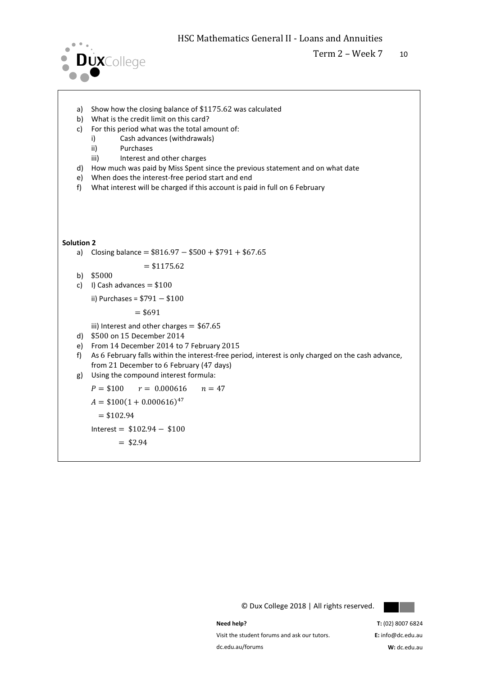

- a) Show how the closing balance of \$1175.62 was calculated
- b) What is the credit limit on this card?
- c) For this period what was the total amount of:
	- i) Cash advances (withdrawals)
	- ii) Purchases
	- iii) Interest and other charges
- d) How much was paid by Miss Spent since the previous statement and on what date
- e) When does the interest-free period start and end
- f) What interest will be charged if this account is paid in full on 6 February

#### **Solution 2**

a) Closing balance =  $$816.97 - $500 + $791 + $67.65$ 

$$
= $1175.62
$$

- b) \$5000
- c) I) Cash advances  $= $100$

ii) Purchases = \$791 − \$100

 $= $691$ 

iii) Interest and other charges  $= $67.65$ 

- d) \$500 on 15 December 2014
- e) From 14 December 2014 to 7 February 2015
- f) As 6 February falls within the interest-free period, interest is only charged on the cash advance, from 21 December to 6 February (47 days)
- g) Using the compound interest formula:

 $P = $100$   $r = 0.000616$   $n = 47$ 

 $A = $100(1 + 0.000616)^{47}$ 

 $= $102.94$ 

 $Interest = $102.94 - $100$ 

 $=$  \$2.94

© Dux College 2018 | All rights reserved.



**Need help?** 

Visit the student forums and ask our tutors. dc.edu.au/forums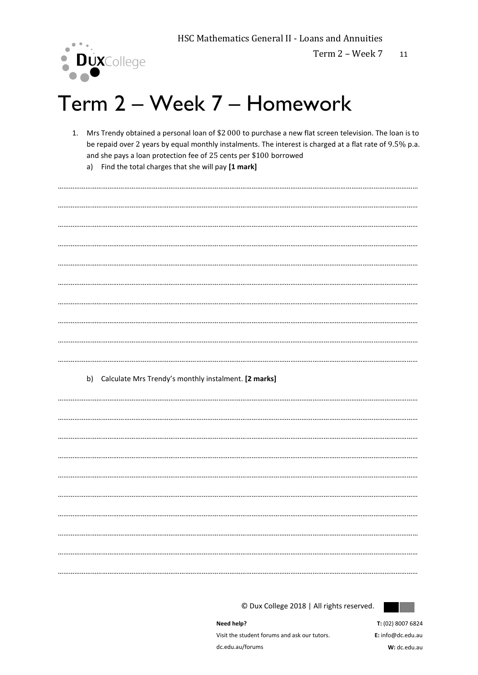

Term 2 - Week 7 11

## Term 2 - Week 7 - Homework

- Mrs Trendy obtained a personal loan of \$2 000 to purchase a new flat screen television. The loan is to  $1.$ be repaid over 2 years by equal monthly instalments. The interest is charged at a flat rate of 9.5% p.a. and she pays a loan protection fee of 25 cents per \$100 borrowed
	- a) Find the total charges that she will pay [1 mark]

b) Calculate Mrs Trendy's monthly instalment. [2 marks] 

© Dux College 2018 | All rights reserved.

Need help? Visit the student forums and ask our tutors. dc.edu.au/forums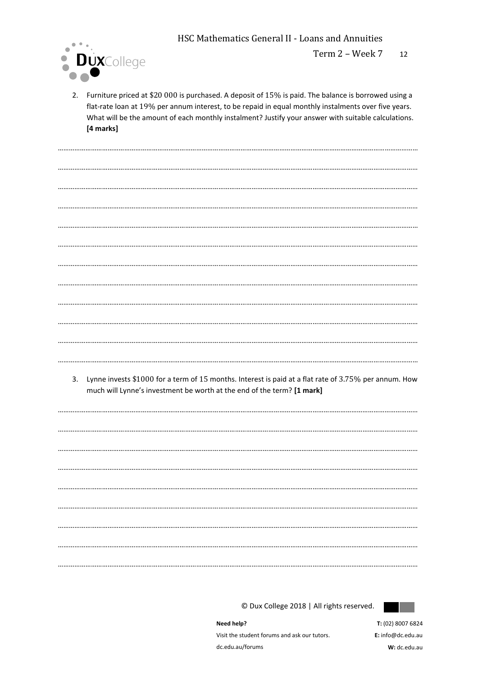**HSC Mathematics General II - Loans and Annuities** 



2. Furniture priced at \$20 000 is purchased. A deposit of 15% is paid. The balance is borrowed using a flat-rate loan at 19% per annum interest, to be repaid in equal monthly instalments over five years. What will be the amount of each monthly instalment? Justify your answer with suitable calculations. [4 marks]

3. Lynne invests \$1000 for a term of 15 months. Interest is paid at a flat rate of 3.75% per annum. How much will Lynne's investment be worth at the end of the term? [1 mark]

© Dux College 2018 | All rights reserved.



Need help? Visit the student forums and ask our tutors. dc.edu.au/forums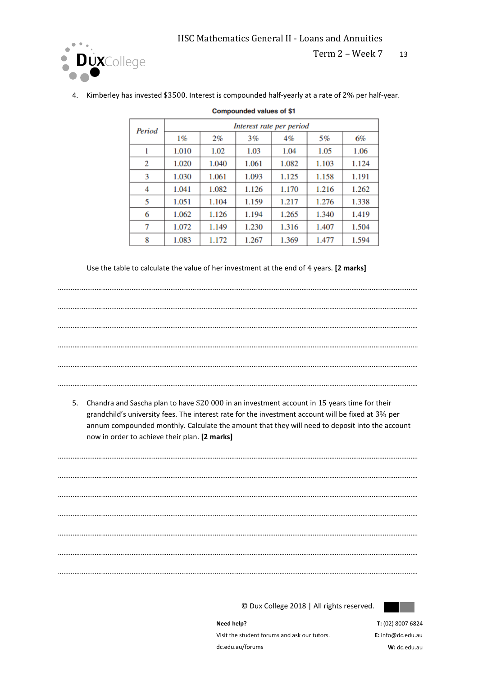

Term 2 – Week 7 13

| Period | Interest rate per period |       |       |       |       |       |
|--------|--------------------------|-------|-------|-------|-------|-------|
|        | 1%                       | 2%    | 3%    | 4%    | 5%    | 6%    |
|        | 1.010                    | 1.02  | 1.03  | 1.04  | 1.05  | 1.06  |
| 2      | 1.020                    | 1.040 | 1.061 | 1.082 | 1.103 | 1.124 |
| 3      | 1.030                    | 1.061 | 1.093 | 1.125 | 1.158 | 1.191 |
| 4      | 1.041                    | 1.082 | 1.126 | 1.170 | 1.216 | 1.262 |
| 5      | 1.051                    | 1.104 | 1.159 | 1.217 | 1.276 | 1.338 |
| 6      | 1.062                    | 1.126 | 1.194 | 1.265 | 1.340 | 1.419 |
| 7      | 1.072                    | 1.149 | 1.230 | 1.316 | 1.407 | 1.504 |
| 8      | 1.083                    | 1.172 | 1.267 | 1.369 | 1.477 | 1.594 |

**Compounded values of \$1** 

4. Kimberley has invested \$3500. Interest is compounded half-yearly at a rate of 2% per half-year.

Use the table to calculate the value of her investment at the end of 4 years. **[2 marks]**

| 5. | Chandra and Sascha plan to have \$20 000 in an investment account in 15 years time for their<br>grandchild's university fees. The interest rate for the investment account will be fixed at 3% per<br>annum compounded monthly. Calculate the amount that they will need to deposit into the account |
|----|------------------------------------------------------------------------------------------------------------------------------------------------------------------------------------------------------------------------------------------------------------------------------------------------------|
|    | now in order to achieve their plan. [2 marks]                                                                                                                                                                                                                                                        |
|    |                                                                                                                                                                                                                                                                                                      |
|    |                                                                                                                                                                                                                                                                                                      |
|    |                                                                                                                                                                                                                                                                                                      |
|    |                                                                                                                                                                                                                                                                                                      |
|    |                                                                                                                                                                                                                                                                                                      |
|    |                                                                                                                                                                                                                                                                                                      |

© Dux College 2018 | All rights reserved.



**Need help?**  Visit the student forums and ask our tutors. dc.edu.au/forums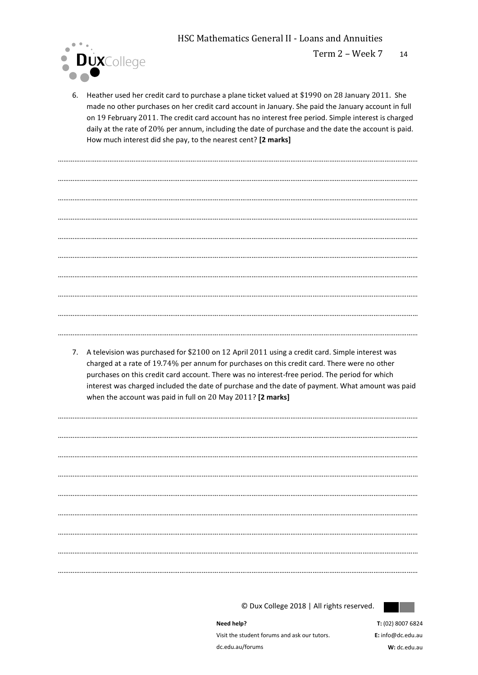HSC Mathematics General II - Loans and Annuities

……………………………………………………………………………………………………………………………………………………………………………



6. Heather used her credit card to purchase a plane ticket valued at \$1990 on 28 January 2011. She made no other purchases on her credit card account in January. She paid the January account in full on 19 February 2011. The credit card account has no interest free period. Simple interest is charged daily at the rate of 20% per annum, including the date of purchase and the date the account is paid. How much interest did she pay, to the nearest cent? **[2 marks]**

…………………………………………………………………………………………………………………………………………………………………………… …………………………………………………………………………………………………………………………………………………………………………… …………………………………………………………………………………………………………………………………………………………………………… …………………………………………………………………………………………………………………………………………………………………………… …………………………………………………………………………………………………………………………………………………………………………… …………………………………………………………………………………………………………………………………………………………………………… …………………………………………………………………………………………………………………………………………………………………………… …………………………………………………………………………………………………………………………………………………………………………… ……………………………………………………………………………………………………………………………………………………………………………

7. A television was purchased for \$2100 on 12 April 2011 using a credit card. Simple interest was charged at a rate of 19.74% per annum for purchases on this credit card. There were no other purchases on this credit card account. There was no interest-free period. The period for which interest was charged included the date of purchase and the date of payment. What amount was paid when the account was paid in full on 20 May 2011? **[2 marks]**

……………………………………………………………………………………………………………………………………………………………………………

…………………………………………………………………………………………………………………………………………………………………………… …………………………………………………………………………………………………………………………………………………………………………… …………………………………………………………………………………………………………………………………………………………………………… …………………………………………………………………………………………………………………………………………………………………………… …………………………………………………………………………………………………………………………………………………………………………… …………………………………………………………………………………………………………………………………………………………………………… …………………………………………………………………………………………………………………………………………………………………………… ……………………………………………………………………………………………………………………………………………………………………………

© Dux College 2018 | All rights reserved.



**Need help?**  Visit the student forums and ask our tutors. dc.edu.au/forums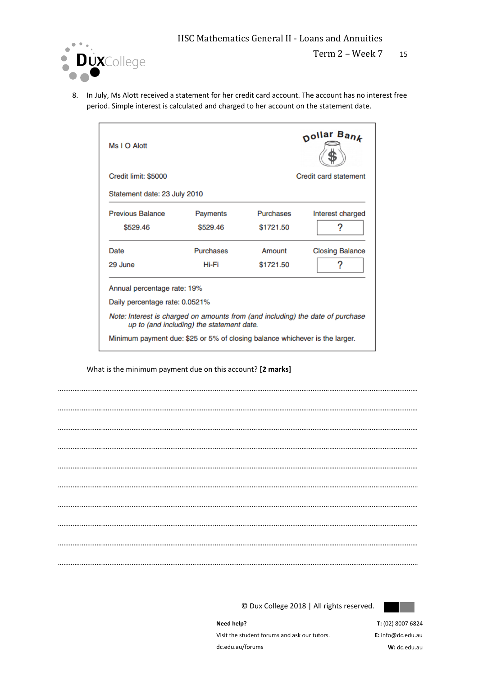

8. In July, Ms Alott received a statement for her credit card account. The account has no interest free period. Simple interest is calculated and charged to her account on the statement date.

| Ms I O Alott                                                                   |                                           |           | nollar Ban <i>k</i>          |
|--------------------------------------------------------------------------------|-------------------------------------------|-----------|------------------------------|
| Credit limit: \$5000                                                           |                                           |           | <b>Credit card statement</b> |
| Statement date: 23 July 2010                                                   |                                           |           |                              |
| <b>Previous Balance</b>                                                        | Payments                                  | Purchases | Interest charged             |
| \$529.46                                                                       | \$529.46                                  | \$1721.50 | ?                            |
| Date                                                                           | <b>Purchases</b>                          | Amount    | <b>Closing Balance</b>       |
| 29 June                                                                        | Hi-Fi                                     | \$1721.50 | 2                            |
| Annual percentage rate: 19%                                                    |                                           |           |                              |
| Daily percentage rate: 0.0521%                                                 |                                           |           |                              |
| Note: Interest is charged on amounts from (and including) the date of purchase | up to (and including) the statement date. |           |                              |
| Minimum payment due: \$25 or 5% of closing balance whichever is the larger.    |                                           |           |                              |

What is the minimum payment due on this account? **[2 marks]**

…………………………………………………………………………………………………………………………………………………………………………… …………………………………………………………………………………………………………………………………………………………………………… …………………………………………………………………………………………………………………………………………………………………………… …………………………………………………………………………………………………………………………………………………………………………… …………………………………………………………………………………………………………………………………………………………………………… …………………………………………………………………………………………………………………………………………………………………………… …………………………………………………………………………………………………………………………………………………………………………… …………………………………………………………………………………………………………………………………………………………………………… …………………………………………………………………………………………………………………………………………………………………………… ……………………………………………………………………………………………………………………………………………………………………………

© Dux College 2018 | All rights reserved.



**Need help?**  Visit the student forums and ask our tutors. dc.edu.au/forums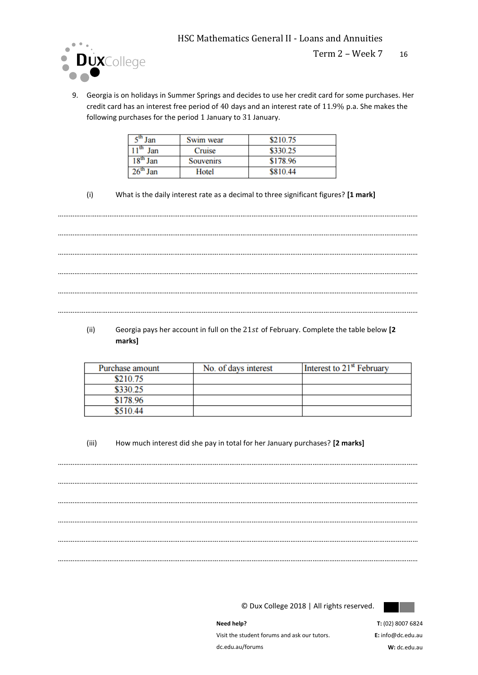

9. Georgia is on holidays in Summer Springs and decides to use her credit card for some purchases. Her credit card has an interest free period of 40 days and an interest rate of 11.9% p.a. She makes the following purchases for the period 1 January to 31 January.

| $\overline{\phantom{a}}^{\text{th}}$ Jan | Swim wear | \$210.75 |
|------------------------------------------|-----------|----------|
| . . th<br>Jan                            | Cruise    | \$330.25 |
| 18 <sup>th</sup> Jan                     | Souvenirs | \$178.96 |
| $26^{\text{th}}$<br>Jan                  | Hotel     | \$810.44 |

(i) What is the daily interest rate as a decimal to three significant figures? **[1 mark]**

……………………………………………………………………………………………………………………………………………………………………………

…………………………………………………………………………………………………………………………………………………………………………… …………………………………………………………………………………………………………………………………………………………………………… …………………………………………………………………………………………………………………………………………………………………………… ……………………………………………………………………………………………………………………………………………………………………………

(ii) Georgia pays her account in full on the 21st of February. Complete the table below [2] **marks]**

……………………………………………………………………………………………………………………………………………………………………………

| Purchase amount | No. of days interest | Interest to 21 <sup>st</sup> February |
|-----------------|----------------------|---------------------------------------|
| \$210.75        |                      |                                       |
| \$330.25        |                      |                                       |
| \$178.96        |                      |                                       |
| \$510.44        |                      |                                       |

(iii) How much interest did she pay in total for her January purchases? **[2 marks]**

…………………………………………………………………………………………………………………………………………………………………………… …………………………………………………………………………………………………………………………………………………………………………… …………………………………………………………………………………………………………………………………………………………………………… …………………………………………………………………………………………………………………………………………………………………………… …………………………………………………………………………………………………………………………………………………………………………… ……………………………………………………………………………………………………………………………………………………………………………

© Dux College 2018 | All rights reserved.



**Need help?**  Visit the student forums and ask our tutors. dc.edu.au/forums